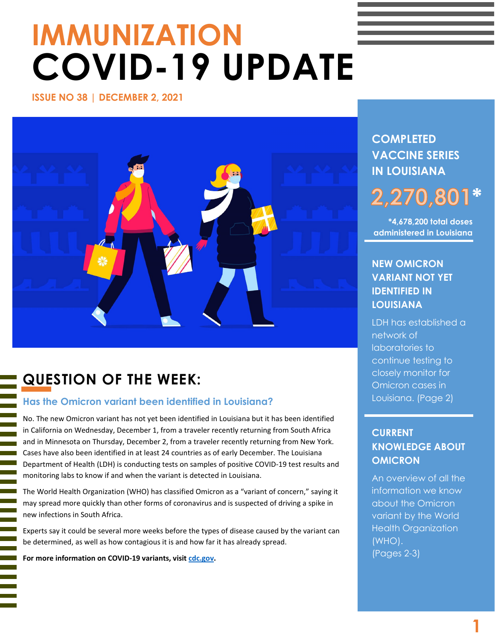# **IMMUNIZATION COVID-19 UPDATE**

**ISSUE NO 38 | DECEMBER 2, 2021** 



# **QUESTION OF THE WEEK:**

## **Has the Omicron variant been identified in Louisiana?**

No. The new Omicron variant has not yet been identified in Louisiana but it has been identified in California on Wednesday, December 1, from a traveler recently returning from South Africa and in Minnesota on Thursday, December 2, from a traveler recently returning from New York. Cases have also been identified in at least 24 countries as of early December. The Louisiana Department of Health (LDH) is conducting tests on samples of positive COVID-19 test results and monitoring labs to know if and when the variant is detected in Louisiana.

The World Health Organization (WHO) has classified Omicron as a "variant of concern," saying it may spread more quickly than other forms of coronavirus and is suspected of driving a spike in new infections in South Africa.

Experts say it could be several more weeks before the types of disease caused by the variant can be determined, as well as how contagious it is and how far it has already spread.

**For more information on COVID-19 variants, visit [cdc.gov.](https://www.cdc.gov/coronavirus/2019-ncov/variants/variant.html)**

I

# **COMPLETED VACCINE SERIES IN LOUISIANA**

# **\* 2,270,80**

**\*4,678,200 total doses administered in Louisiana**

# **NEW OMICRON VARIANT NOT YET IDENTIFIED IN LOUISIANA**

LDH has established a network of laboratories to continue testing to closely monitor for Omicron cases in Louisiana. (Page 2)

# **CURRENT KNOWLEDGE ABOUT OMICRON**

An overview of all the information we know about the Omicron variant by the World Health Organization (WHO). (Pages 2-3)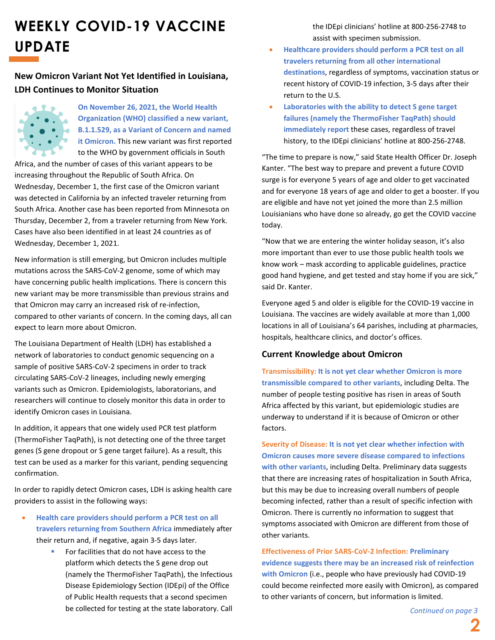# **WEEKLY COVID-19 VACCINE UPDATE**

## **New Omicron Variant Not Yet Identified in Louisiana, LDH Continues to Monitor Situation**



**On November 26, 2021, the World Health Organization (WHO) classified a new variant, B.1.1.529, as a Variant of Concern and named it Omicron.** This new variant was first reported to the WHO by government officials in South

Africa, and the number of cases of this variant appears to be increasing throughout the Republic of South Africa. On Wednesday, December 1, the first case of the Omicron variant was detected in California by an infected traveler returning from South Africa. Another case has been reported from Minnesota on Thursday, December 2, from a traveler returning from New York. Cases have also been identified in at least 24 countries as of Wednesday, December 1, 2021.

New information is still emerging, but Omicron includes multiple mutations across the SARS-CoV-2 genome, some of which may have concerning public health implications. There is concern this new variant may be more transmissible than previous strains and that Omicron may carry an increased risk of re-infection, compared to other variants of concern. In the coming days, all can expect to learn more about Omicron.

The Louisiana Department of Health (LDH) has established a network of laboratories to conduct genomic sequencing on a sample of positive SARS-CoV-2 specimens in order to track circulating SARS-CoV-2 lineages, including newly emerging variants such as Omicron. Epidemiologists, laboratorians, and researchers will continue to closely monitor this data in order to identify Omicron cases in Louisiana.

In addition, it appears that one widely used PCR test platform (ThermoFisher TaqPath), is not detecting one of the three target genes (S gene dropout or S gene target failure). As a result, this test can be used as a marker for this variant, pending sequencing confirmation.

In order to rapidly detect Omicron cases, LDH is asking health care providers to assist in the following ways:

- **Health care providers should perform a PCR test on all travelers returning from Southern Africa** immediately after their return and, if negative, again 3-5 days later.
	- For facilities that do not have access to the platform which detects the S gene drop out (namely the ThermoFisher TaqPath), the Infectious Disease Epidemiology Section (IDEpi) of the Office of Public Health requests that a second specimen be collected for testing at the state laboratory. Call

the IDEpi clinicians' hotline at 800-256-2748 to assist with specimen submission.

- **Healthcare providers should perform a PCR test on all travelers returning from all other international destinations**, regardless of symptoms, vaccination status or recent history of COVID-19 infection, 3-5 days after their return to the U.S.
- **Laboratories with the ability to detect S gene target failures (namely the ThermoFisher TaqPath) should immediately report** these cases, regardless of travel history, to the IDEpi clinicians' hotline at 800-256-2748.

"The time to prepare is now," said State Health Officer Dr. Joseph Kanter. "The best way to prepare and prevent a future COVID surge is for everyone 5 years of age and older to get vaccinated and for everyone 18 years of age and older to get a booster. If you are eligible and have not yet joined the more than 2.5 million Louisianians who have done so already, go get the COVID vaccine today.

"Now that we are entering the winter holiday season, it's also more important than ever to use those public health tools we know work – mask according to applicable guidelines, practice good hand hygiene, and get tested and stay home if you are sick," said Dr. Kanter.

Everyone aged 5 and older is eligible for the COVID-19 vaccine in Louisiana. The vaccines are widely available at more than 1,000 locations in all of Louisiana's 64 parishes, including at pharmacies, hospitals, healthcare clinics, and doctor's offices.

#### **Current Knowledge about Omicron**

**Transmissibility: It is not yet clear whether Omicron is more transmissible compared to other variants**, including Delta. The number of people testing positive has risen in areas of South Africa affected by this variant, but epidemiologic studies are underway to understand if it is because of Omicron or other factors.

**Severity of Disease: It is not yet clear whether infection with Omicron causes more severe disease compared to infections with other variants**, including Delta. Preliminary data suggests that there are increasing rates of hospitalization in South Africa, but this may be due to increasing overall numbers of people becoming infected, rather than a result of specific infection with Omicron. There is currently no information to suggest that symptoms associated with Omicron are different from those of other variants.

**Effectiveness of Prior SARS-CoV-2 Infection: Preliminary evidence suggests there may be an increased risk of reinfection with Omicron** (i.e., people who have previously had COVID-19 could become reinfected more easily with Omicron), as compared to other variants of concern, but information is limited.